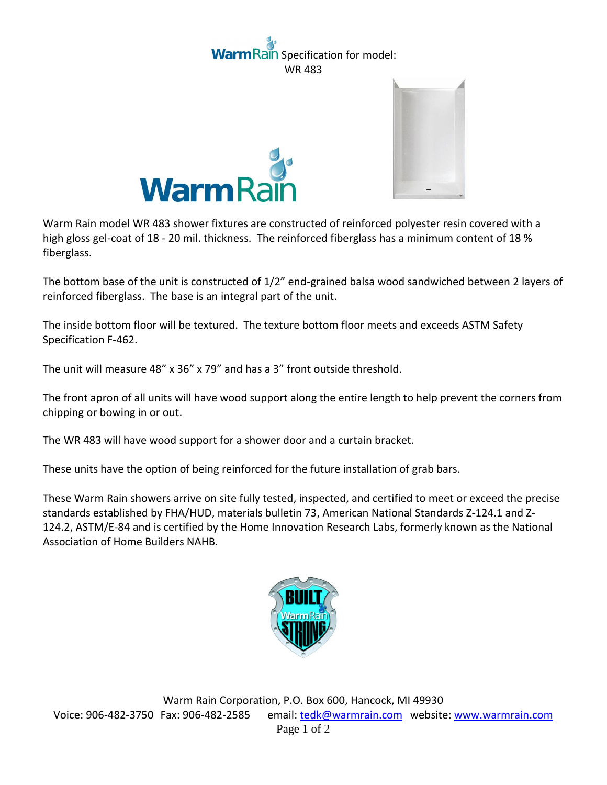## aln Specification for model: WR 483





Warm Rain model WR 483 shower fixtures are constructed of reinforced polyester resin covered with a high gloss gel-coat of 18 - 20 mil. thickness. The reinforced fiberglass has a minimum content of 18 % fiberglass.

The bottom base of the unit is constructed of 1/2" end-grained balsa wood sandwiched between 2 layers of reinforced fiberglass. The base is an integral part of the unit.

The inside bottom floor will be textured. The texture bottom floor meets and exceeds ASTM Safety Specification F-462.

The unit will measure 48" x 36" x 79" and has a 3" front outside threshold.

The front apron of all units will have wood support along the entire length to help prevent the corners from chipping or bowing in or out.

The WR 483 will have wood support for a shower door and a curtain bracket.

These units have the option of being reinforced for the future installation of grab bars.

These Warm Rain showers arrive on site fully tested, inspected, and certified to meet or exceed the precise standards established by FHA/HUD, materials bulletin 73, American National Standards Z-124.1 and Z-124.2, ASTM/E-84 and is certified by the Home Innovation Research Labs, formerly known as the National Association of Home Builders NAHB.